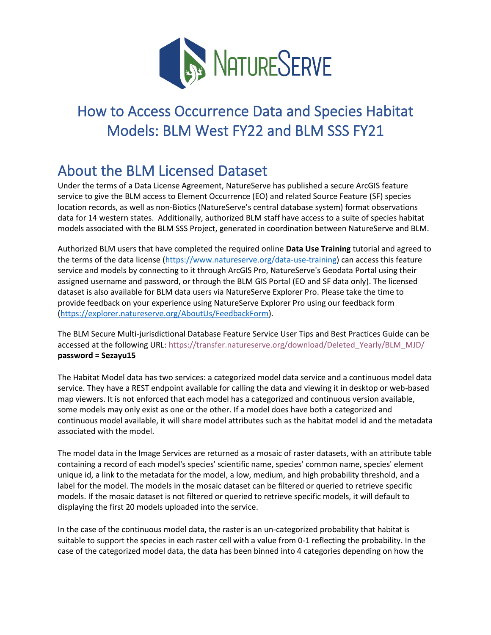

## How to Access Occurrence Data and Species Habitat Models: BLM West FY22 and BLM SSS FY21

## <span id="page-0-0"></span>About the BLM Licensed Dataset

Under the terms of a Data License Agreement, NatureServe has published a secure ArcGIS feature service to give the BLM access to Element Occurrence (EO) and related Source Feature (SF) species location records, as well as non-Biotics (NatureServe's central database system) format observations data for 14 western states. Additionally, authorized BLM staff have access to a suite of species habitat models associated with the BLM SSS Project, generated in coordination between NatureServe and BLM.

Authorized BLM users that have completed the required online **Data Use Training** tutorial and agreed to the terms of the data license [\(https://www.natureserve.org/data-use-training\)](https://www.natureserve.org/data-use-training) can access this feature service and models by connecting to it through ArcGIS Pro, NatureServe's Geodata Portal using their assigned username and password, or through the BLM GIS Portal (EO and SF data only). The licensed dataset is also available for BLM data users via NatureServe Explorer Pro. Please take the time to provide feedback on your experience using NatureServe Explorer Pro using our feedback form [\(https://explorer.natureserve.org/AboutUs/FeedbackForm\)](https://explorer.natureserve.org/AboutUs/FeedbackForm).

The BLM Secure Multi-jurisdictional Database Feature Service User Tips and Best Practices Guide can be accessed at the following URL: [https://transfer.natureserve.org/download/Deleted\\_Yearly/BLM\\_MJD/](https://transfer.natureserve.org/download/Deleted_Yearly/BLM_MJD/) **password = Sezayu15**

The Habitat Model data has two services: a categorized model data service and a continuous model data service. They have a REST endpoint available for calling the data and viewing it in desktop or web-based map viewers. It is not enforced that each model has a categorized and continuous version available, some models may only exist as one or the other. If a model does have both a categorized and continuous model available, it will share model attributes such as the habitat model id and the metadata associated with the model.

The model data in the Image Services are returned as a mosaic of raster datasets, with an attribute table containing a record of each model's species' scientific name, species' common name, species' element unique id, a link to the metadata for the model, a low, medium, and high probability threshold, and a label for the model. The models in the mosaic dataset can be filtered or queried to retrieve specific models. If the mosaic dataset is not filtered or queried to retrieve specific models, it will default to displaying the first 20 models uploaded into the service.

In the case of the continuous model data, the raster is an un-categorized probability that habitat is suitable to support the species in each raster cell with a value from 0-1 reflecting the probability. In the case of the categorized model data, the data has been binned into 4 categories depending on how the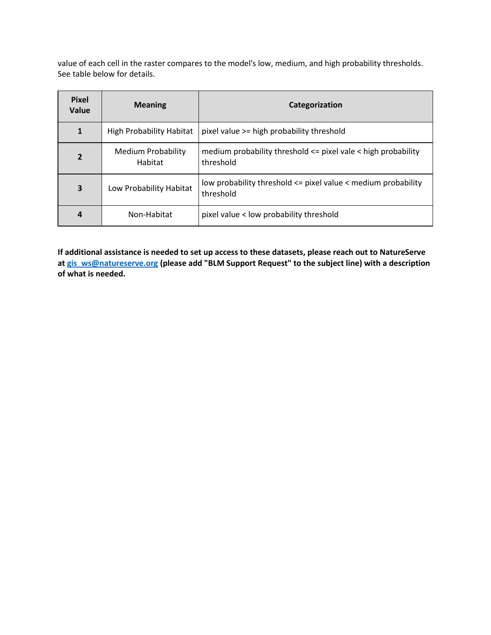value of each cell in the raster compares to the model's low, medium, and high probability thresholds. See table below for details.

| <b>Pixel</b><br>Value | <b>Meaning</b>                       | Categorization                                                             |  |  |
|-----------------------|--------------------------------------|----------------------------------------------------------------------------|--|--|
| 1                     | <b>High Probability Habitat</b>      | pixel value >= high probability threshold                                  |  |  |
| $\overline{2}$        | <b>Medium Probability</b><br>Habitat | medium probability threshold <= pixel vale < high probability<br>threshold |  |  |
| 3                     | Low Probability Habitat              | low probability threshold <= pixel value < medium probability<br>threshold |  |  |
| 4                     | Non-Habitat                          | pixel value < low probability threshold                                    |  |  |

**If additional assistance is needed to set up access to these datasets, please reach out to NatureServe a[t gis\\_ws@natureserve.org](mailto:gis_ws@natureserve.org) (please add "BLM Support Request" to the subject line) with a description of what is needed.**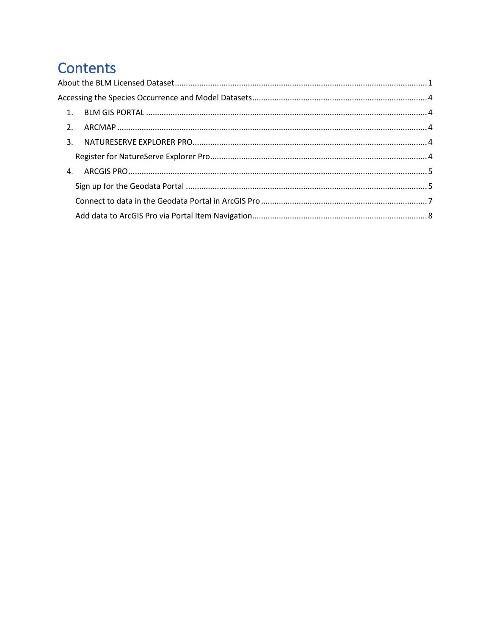# Contents

| 1 <sup>1</sup> |  |
|----------------|--|
| 2.             |  |
|                |  |
|                |  |
| 4 <sub>1</sub> |  |
|                |  |
|                |  |
|                |  |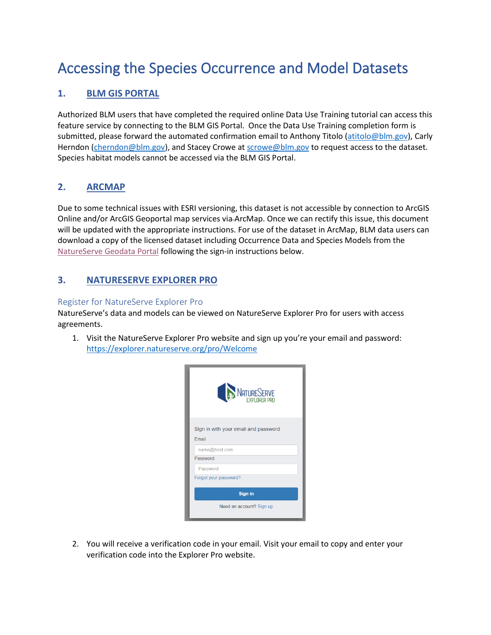## <span id="page-3-0"></span>Accessing the Species Occurrence and Model Datasets

#### <span id="page-3-1"></span>**1. BLM GIS PORTAL**

Authorized BLM users that have completed the required online Data Use Training tutorial can access this feature service by connecting to the BLM GIS Portal. Once the Data Use Training completion form is submitted, please forward the automated confirmation email to Anthony Titolo [\(atitolo@blm.gov\)](mailto:atitolo@blm.gov), Carly Herndon [\(cherndon@blm.gov\)](mailto:cherndon@blm.gov), and Stacey Crowe at [scrowe@blm.gov](mailto:scrowe@blm.gov) to request access to the dataset. Species habitat models cannot be accessed via the BLM GIS Portal.

### <span id="page-3-2"></span>**2. ARCMAP**

Due to some technical issues with ESRI versioning, this dataset is not accessible by connection to ArcGIS Online and/or ArcGIS Geoportal map services via ArcMap. Once we can rectify this issue, this document will be updated with the appropriate instructions. For use of the dataset in ArcMap, BLM data users can download a copy of the licensed dataset including Occurrence Data and Species Models from the [NatureServe Geodata Portal](https://geodata.natureserve.org/arcgis/home/index.html) following the sign-in instructions below.

### <span id="page-3-3"></span>**3. NATURESERVE EXPLORER PRO**

#### <span id="page-3-4"></span>Register for NatureServe Explorer Pro

NatureServe's data and models can be viewed on NatureServe Explorer Pro for users with access agreements.

1. Visit the NatureServe Explorer Pro website and sign up you're your email and password: <https://explorer.natureserve.org/pro/Welcome>

| NATURESERVE                                   |  |  |  |  |  |  |
|-----------------------------------------------|--|--|--|--|--|--|
| Sign in with your email and password<br>Email |  |  |  |  |  |  |
| name@host.com                                 |  |  |  |  |  |  |
| Password                                      |  |  |  |  |  |  |
| Password                                      |  |  |  |  |  |  |
| Forgot your password?                         |  |  |  |  |  |  |
| <b>Sign in</b>                                |  |  |  |  |  |  |
| Need an account? Sign up                      |  |  |  |  |  |  |

2. You will receive a verification code in your email. Visit your email to copy and enter your verification code into the Explorer Pro website.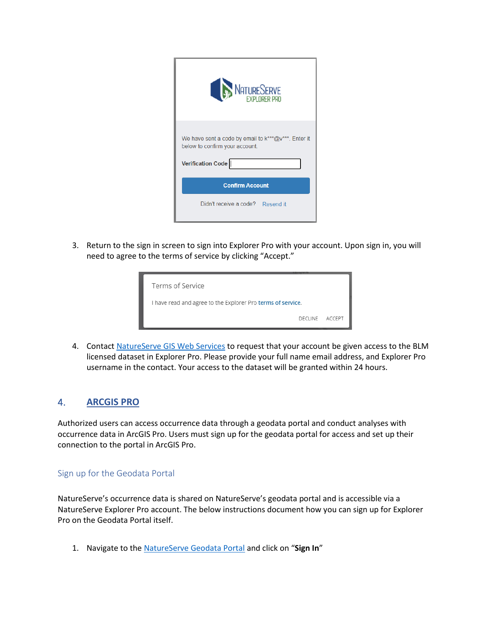| NATURESERVE                                                                                                       |  |  |  |  |  |
|-------------------------------------------------------------------------------------------------------------------|--|--|--|--|--|
| We have sent a code by email to k***@v***. Enter it<br>below to confirm your account.<br><b>Verification Code</b> |  |  |  |  |  |
| <b>Confirm Account</b>                                                                                            |  |  |  |  |  |
| Didn't receive a code? Resend if                                                                                  |  |  |  |  |  |

3. Return to the sign in screen to sign into Explorer Pro with your account. Upon sign in, you will need to agree to the terms of service by clicking "Accept."

| Terms of Service                                            |        |
|-------------------------------------------------------------|--------|
| I have read and agree to the Explorer Pro terms of service. |        |
| DECLINE                                                     | ACCEPT |

4. Contact [NatureServe GIS Web Services](mailto:gis_ws@natureserve.org) to request that your account be given access to the BLM licensed dataset in Explorer Pro. Please provide your full name email address, and Explorer Pro username in the contact. Your access to the dataset will be granted within 24 hours.

#### <span id="page-4-0"></span>4. **ARCGIS PRO**

Authorized users can access occurrence data through a geodata portal and conduct analyses with occurrence data in ArcGIS Pro. Users must sign up for the geodata portal for access and set up their connection to the portal in ArcGIS Pro.

#### <span id="page-4-1"></span>Sign up for the Geodata Portal

NatureServe's occurrence data is shared on NatureServe's geodata portal and is accessible via a NatureServe Explorer Pro account. The below instructions document how you can sign up for Explorer Pro on the Geodata Portal itself.

1. Navigate to the [NatureServe Geodata Portal](https://geodata.natureserve.org/arcgis/home/index.html) and click on "**Sign In**"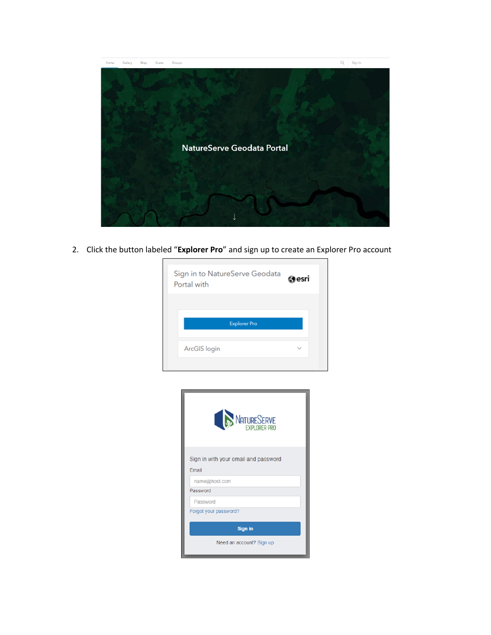

2. Click the button labeled "**Explorer Pro**" and sign up to create an Explorer Pro account

| Sign in to NatureServe Geodata<br>Portal with | esri |
|-----------------------------------------------|------|
| <b>Explorer Pro</b>                           |      |
| ArcGIS login                                  |      |

| NATURESERVE                                   |  |  |  |  |  |
|-----------------------------------------------|--|--|--|--|--|
| Sign in with your email and password<br>Email |  |  |  |  |  |
| name@host.com                                 |  |  |  |  |  |
| Password                                      |  |  |  |  |  |
| Password                                      |  |  |  |  |  |
| Forgot your password?                         |  |  |  |  |  |
| <b>Sign in</b>                                |  |  |  |  |  |
| Need an account? Sign up                      |  |  |  |  |  |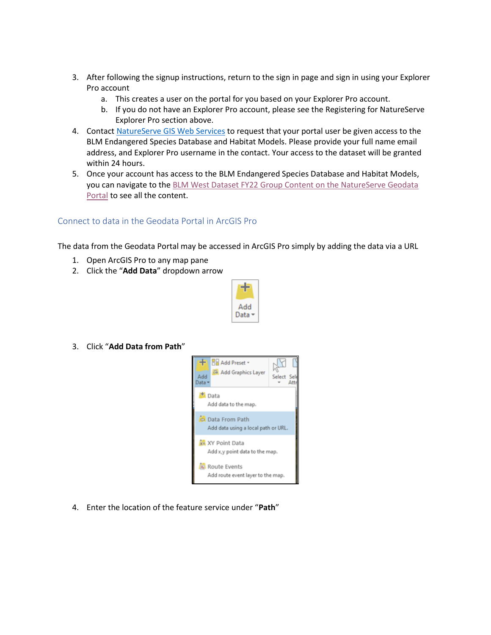- 3. After following the signup instructions, return to the sign in page and sign in using your Explorer Pro account
	- a. This creates a user on the portal for you based on your Explorer Pro account.
	- b. If you do not have an Explorer Pro account, please see the Registering for NatureServe Explorer Pro section above.
- 4. Contact [NatureServe GIS Web Services](mailto:gis_ws@natureserve.org) to request that your portal user be given access to the BLM Endangered Species Database and Habitat Models. Please provide your full name email address, and Explorer Pro username in the contact. Your access to the dataset will be granted within 24 hours.
- 5. Once your account has access to the BLM Endangered Species Database and Habitat Models, you can navigate to the BLM West Dataset FY22 Group Content on the NatureServe Geodata [Portal](https://geodata.natureserve.org/arcgis/home/group.html?id=7174e378abad4bc59be83ded7c9b25d1&view=list#content) to see all the content.

#### <span id="page-6-0"></span>Connect to data in the Geodata Portal in ArcGIS Pro

The data from the Geodata Portal may be accessed in ArcGIS Pro simply by adding the data via a URL

- 1. Open ArcGIS Pro to any map pane
- 2. Click the "**Add Data**" dropdown arrow



3. Click "**Add Data from Path**"



4. Enter the location of the feature service under "**Path**"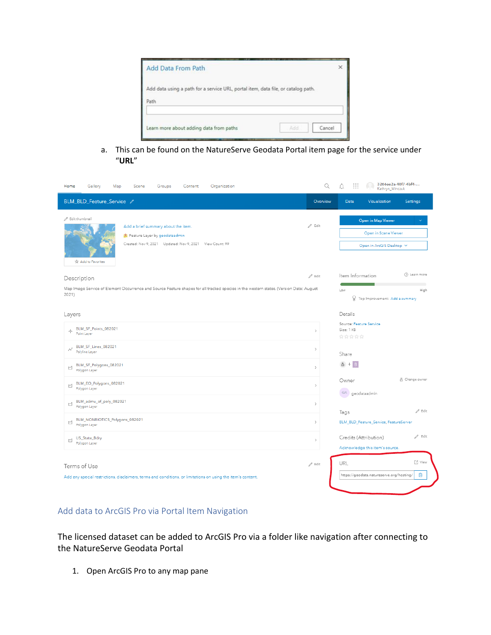| Add Data From Path                                                                |        |
|-----------------------------------------------------------------------------------|--------|
| Add data using a path for a service URL, portal item, data file, or catalog path. |        |
| Path                                                                              |        |
| Learn more about adding data from paths                                           | Cancel |

a. This can be found on the NatureServe Geodata Portal item page for the service under "**URL**"

| Home                           | Gallery                                                                          | Map | Scene | Groups                                                                            | Content | Organization                                                                                                       |                                                                                                                                        | Q                              | $\frac{1}{1}$                                             | Kathryn_Minczuk                                                        | 3266ee2a-48f7-4bf4-       |
|--------------------------------|----------------------------------------------------------------------------------|-----|-------|-----------------------------------------------------------------------------------|---------|--------------------------------------------------------------------------------------------------------------------|----------------------------------------------------------------------------------------------------------------------------------------|--------------------------------|-----------------------------------------------------------|------------------------------------------------------------------------|---------------------------|
|                                | BLM_BLD_Feature_Service /                                                        |     |       |                                                                                   |         |                                                                                                                    |                                                                                                                                        | Overview                       | Data                                                      | Visualization                                                          | Settings                  |
| Bdit thumbnail                 | Add to Favorites                                                                 |     |       | Add a brief summary about the item.<br><sup>0</sup> Feature Layer by geodataadmin |         | Created: Nov 9, 2021 Updated: Nov 9, 2021 View Count: 99                                                           |                                                                                                                                        | $\mathscr{O}$ Edit             |                                                           | Open in Map Viewer<br>Open in Scene Viewer<br>Open in ArcGIS Desktop v |                           |
| 2021)                          | Description                                                                      |     |       |                                                                                   |         |                                                                                                                    | Map Image Service of Element Occurrence and Source Feature shapes for all tracked species in the western states. (Version Date: August | $\mathscr{O}$ Edit             | Item Information<br>Low                                   | <sup>W</sup> Top Improvement: Add a summary                            | (?) Learn more<br>High    |
| Layers                         | BLM_SF_Points_082021<br>Point Layer                                              |     |       |                                                                                   |         |                                                                                                                    |                                                                                                                                        | $\rightarrow$                  | Details<br>Source: Feature Service<br>Size: 1 KB<br>☆☆☆☆☆ |                                                                        |                           |
| $\scriptstyle\mathcal{N}$<br>⊠ | BLM_SF_Lines_082021<br>Polyline Layer<br>BLM_SF_Polygons_082021<br>Polygon Layer |     |       |                                                                                   |         |                                                                                                                    |                                                                                                                                        | $\rightarrow$<br>$\rightarrow$ | Share<br>$6 +$<br>$\overline{B}$                          |                                                                        |                           |
| ⊠                              | BLM_EO_Polygons_082021<br>Polygon Layer                                          |     |       |                                                                                   |         |                                                                                                                    |                                                                                                                                        | $\rightarrow$                  | Owner<br>GA                                               | geodataadmin                                                           | <b>&amp;</b> Change owner |
| ⊠                              | BLM_admu_of_poly_082021<br>Polygon Layer                                         |     |       |                                                                                   |         |                                                                                                                    |                                                                                                                                        | $\,$                           | Tags                                                      |                                                                        | $\mathscr{O}$ Edit        |
| ⊠                              | BLM_NONBIOTICS_Polygons_082021<br>Polygon Layer                                  |     |       |                                                                                   |         |                                                                                                                    |                                                                                                                                        | $\,$                           |                                                           | BLM_BLD_Feature_Service, FeatureServer                                 |                           |
| ⊠                              | US_State_Bdry<br>Polygon Layer                                                   |     |       |                                                                                   |         |                                                                                                                    |                                                                                                                                        | $\rightarrow$                  |                                                           | Credits (Attribution)<br>Acknowledge this item's source.               | $\mathscr{O}$ Edit        |
|                                | Terms of Use                                                                     |     |       |                                                                                   |         | Add any special restrictions, disclaimers, terms and conditions, or limitations on using the item's content.<br>×. |                                                                                                                                        | $\mathscr{O}$ Edit             | URL                                                       | https://geodata.natureserve.org/hosting/                               | M View<br>ß               |

### <span id="page-7-0"></span>Add data to ArcGIS Pro via Portal Item Navigation

The licensed dataset can be added to ArcGIS Pro via a folder like navigation after connecting to the NatureServe Geodata Portal

1. Open ArcGIS Pro to any map pane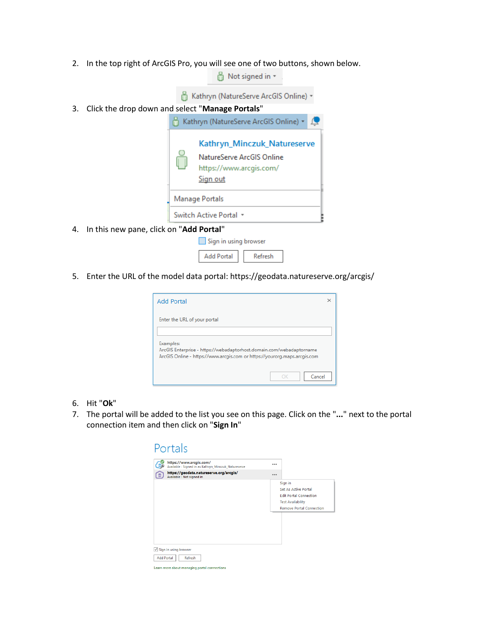2. In the top right of ArcGIS Pro, you will see one of two buttons, shown below.

|    |                                                 | Not signed in *                                                                                 |
|----|-------------------------------------------------|-------------------------------------------------------------------------------------------------|
|    |                                                 | Kathryn (NatureServe ArcGIS Online) *                                                           |
| 3. | Click the drop down and select "Manage Portals" |                                                                                                 |
|    |                                                 | Kathryn (NatureServe ArcGIS Online) *                                                           |
|    |                                                 | Kathryn_Minczuk_Natureserve<br>NatureServe ArcGIS Online<br>https://www.arcgis.com/<br>Sign out |
|    |                                                 | Manage Portals                                                                                  |
|    |                                                 | Switch Active Portal *                                                                          |

4. In this new pane, click on "**Add Portal**"

| Sign in using browser |         |
|-----------------------|---------|
| <b>Add Portal</b>     | Refresh |

5. Enter the URL of the model data portal: https://geodata.natureserve.org/arcgis/

| <b>Add Portal</b>                                                                                                                                              |  |
|----------------------------------------------------------------------------------------------------------------------------------------------------------------|--|
| Enter the URL of your portal                                                                                                                                   |  |
| Examples:<br>ArcGIS Enterprise - https://webadaptorhost.domain.com/webadaptorname<br>ArcGIS Online - https://www.arcgis.com or https://yourorg.maps.arcgis.com |  |
| Cancel<br>ΩK                                                                                                                                                   |  |

- 6. Hit "**Ok**"
- 7. The portal will be added to the list you see on this page. Click on the "**...**" next to the portal connection item and then click on "**Sign In**"

| Portals                                                                                                        |      |                                                                                                                                 |
|----------------------------------------------------------------------------------------------------------------|------|---------------------------------------------------------------------------------------------------------------------------------|
| https://www.arcgis.com/<br>Available : Signed in as Kathryn Minczuk Natureserve                                | 0.06 |                                                                                                                                 |
| https://geodata.natureserve.org/arcgis/<br>i.<br>Available : Not signed in                                     | 000  |                                                                                                                                 |
|                                                                                                                |      | Sign in<br>Set As Active Portal<br><b>Edit Portal Connection</b><br><b>Test Availability</b><br><b>Remove Portal Connection</b> |
|                                                                                                                |      |                                                                                                                                 |
| √ Sign in using browser<br><b>Add Portal</b><br><b>Refresh</b><br>Learn more about managing portal connections |      |                                                                                                                                 |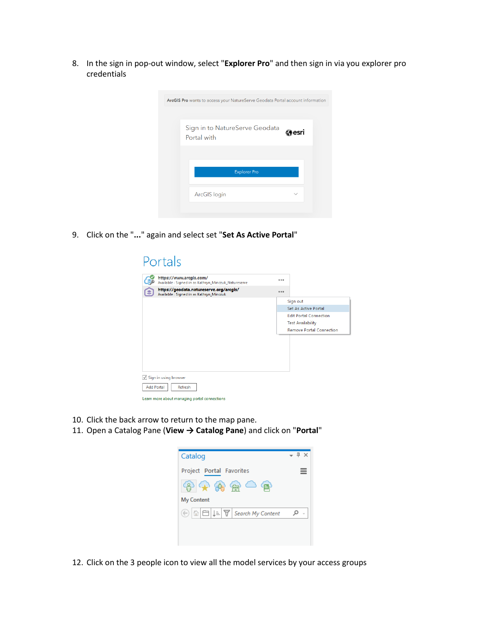8. In the sign in pop-out window, select "**Explorer Pro**" and then sign in via you explorer pro credentials

| Sign in to NatureServe Geodata<br>Portal with<br><b>Explorer Pro</b> | esri |
|----------------------------------------------------------------------|------|
|                                                                      |      |
|                                                                      |      |
|                                                                      |      |
| ArcGIS login                                                         |      |

9. Click on the "**...**" again and select set "**Set As Active Portal**"

| Portals                                                                             |       |                                 |
|-------------------------------------------------------------------------------------|-------|---------------------------------|
| https://www.arcgis.com/<br>Available : Signed in as Kathryn_Minczuk_Natureserve     | 0.06  |                                 |
| https://geodata.natureserve.org/arcgis/<br>Available : Signed in as Kathryn Minczuk | 0.0.0 |                                 |
|                                                                                     |       | Sign out                        |
|                                                                                     |       | Set As Active Portal            |
|                                                                                     |       | <b>Edit Portal Connection</b>   |
|                                                                                     |       | <b>Test Availability</b>        |
|                                                                                     |       | <b>Remove Portal Connection</b> |
|                                                                                     |       |                                 |
| √ Sign in using browser                                                             |       |                                 |
| <b>Add Portal</b><br>Refresh                                                        |       |                                 |
| Learn more about managing portal connections                                        |       |                                 |

- 10. Click the back arrow to return to the map pane.
- 11. Open a Catalog Pane (**View → Catalog Pane**) and click on "**Portal**"

| Catalog                                                                                               | $-1 \times$ |
|-------------------------------------------------------------------------------------------------------|-------------|
| Project Portal Favorites                                                                              |             |
| $\circledcirc$ $\circledcirc$ $\circledcirc$ $\circledcirc$                                           |             |
| <b>My Content</b>                                                                                     |             |
| $\circled{e}$ $\circled{e}$ $\circled{e}$ $\circled{e}$ $\circled{e}$ $\circled{e}$ Search My Content | م<br>$\sim$ |
|                                                                                                       |             |
|                                                                                                       |             |

12. Click on the 3 people icon to view all the model services by your access groups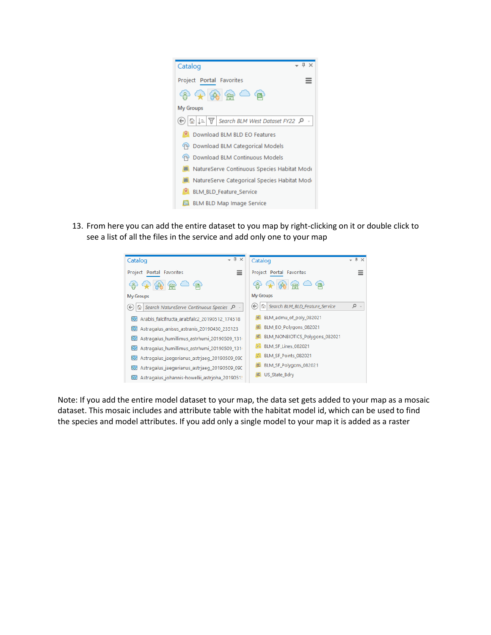| . п х<br>Catalog                                               |  |  |
|----------------------------------------------------------------|--|--|
| Project Portal Favorites                                       |  |  |
| $\circledcirc$ $\circledcirc$ $\circledcirc$ $\circledcirc$    |  |  |
| <b>My Groups</b>                                               |  |  |
| △   ↓ =   〒   Search BLM West Dataset FY22 ♪<br>$(\Leftarrow)$ |  |  |
| Download BLM BLD EO Features                                   |  |  |
| <b>TP</b> Download BLM Categorical Models                      |  |  |
| Download BLM Continuous Models                                 |  |  |
| <b>■</b> NatureServe Continuous Species Habitat Mode           |  |  |
| ■ NatureServe Categorical Species Habitat Mode                 |  |  |
| U,<br><b>BLM BLD Feature Service</b>                           |  |  |
| <b>BLM BLD Map Image Service</b>                               |  |  |

13. From here you can add the entire dataset to you map by right-clicking on it or double click to see a list of all the files in the service and add only one to your map

| $-1 \times$<br>Catalog                                                      | II X<br>Catalog                                                       |
|-----------------------------------------------------------------------------|-----------------------------------------------------------------------|
| $=$<br>Project Portal Favorites                                             | Project Portal Favorites<br>≡                                         |
| $\mathbb{R}$                                                                | -8<br>倆                                                               |
| <b>My Groups</b>                                                            | <b>My Groups</b>                                                      |
| Search NatureServe Continuous Species P -<br>$\left(\leftarrow\right)$<br>€ | Search BLM_BLD_Feature_Service<br>α<br>奋<br>$\left(\leftarrow\right)$ |
| Arabis_falcifructa_arabfalc2_20190512_174518<br>疆                           | BLM_admu_of_poly_082021<br>$\mathbf{E}$                               |
| Astragalus anisus astranis 20190430 235123<br>œ                             | BLM_EO_Polygons_082021                                                |
| Astragalus_humillimus_astrhumi_20190509_131<br>鹽                            | BLM_NONBIOTICS_Polygons_082021                                        |
| Astragalus_humillimus_astrhumi_20190509_131<br>œ                            | BLM SF Lines 082021<br>$+$                                            |
| Astragalus_jaegerianus_astrjaeg_20190509_090<br>鹽                           | BLM SF Points 082021                                                  |
| Astragalus_jaegerianus_astrjaeg_20190509_09C<br>鹽                           | BLM_SF_Polygons_082021                                                |
| Astragalus_johannis-howellii_astrjoha_2019051!<br>œ                         | US State Bdry                                                         |

Note: If you add the entire model dataset to your map, the data set gets added to your map as a mosaic dataset. This mosaic includes and attribute table with the habitat model id, which can be used to find the species and model attributes. If you add only a single model to your map it is added as a raster